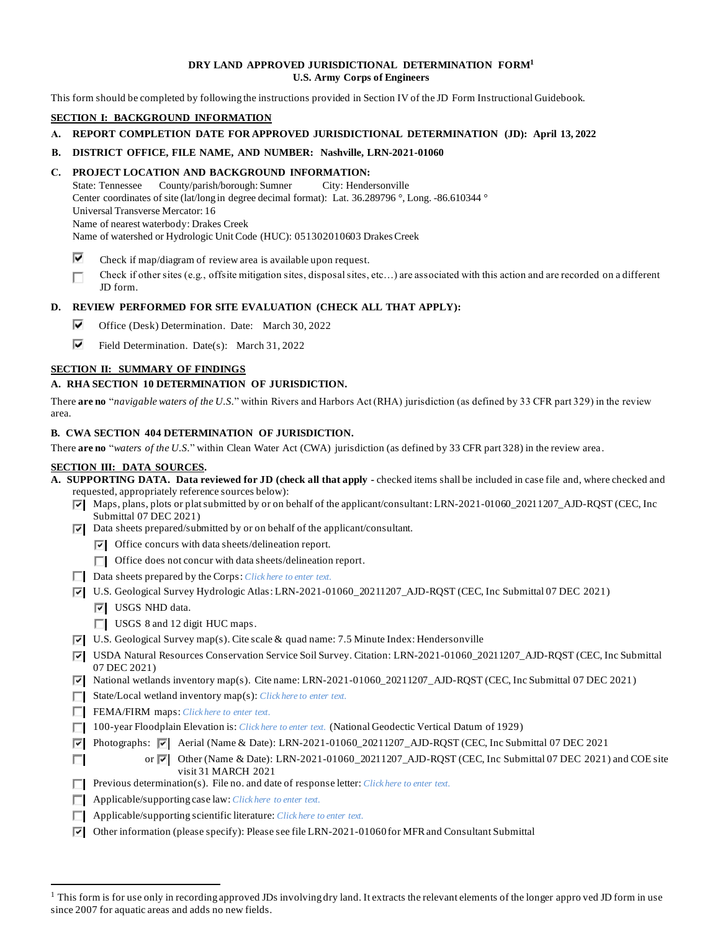### **DRY LAND APPROVED JURISDICTIONAL DETERMINATION FORM<sup>1</sup> U.S. Army Corps of Engineers**

This form should be completed by following the instructions provided in Section IV of the JD Form Instructional Guidebook.

# **SECTION I: BACKGROUND INFORMATION**

- **A. REPORT COMPLETION DATE FOR APPROVED JURISDICTIONAL DETERMINATION (JD): April 13, 2022**
- **B. DISTRICT OFFICE, FILE NAME, AND NUMBER: Nashville, LRN-2021-01060**

### **C. PROJECT LOCATION AND BACKGROUND INFORMATION:**

State: Tennessee County/parish/borough: Sumner City: Hendersonville Center coordinates of site (lat/long in degree decimal format): Lat. 36.289796 °, Long. -86.610344 ° Universal Transverse Mercator: 16 Name of nearest waterbody: Drakes Creek Name of watershed or Hydrologic Unit Code (HUC): 051302010603 Drakes Creek

- ⊽ Check if map/diagram of review area is available upon request.
- П Check if other sites (e.g., offsite mitigation sites, disposal sites, etc…) are associated with this action and are recorded on a different JD form.

### **D. REVIEW PERFORMED FOR SITE EVALUATION (CHECK ALL THAT APPLY):**

- ⊽⊹ Office (Desk) Determination. Date: March 30, 2022
- ⊽⊹ Field Determination. Date(s): March 31, 2022

### **SECTION II: SUMMARY OF FINDINGS**

### **A. RHA SECTION 10 DETERMINATION OF JURISDICTION.**

There **are no** "*navigable waters of the U.S.*" within Rivers and Harbors Act (RHA) jurisdiction (as defined by 33 CFR part 329) in the review area.

## **B. CWA SECTION 404 DETERMINATION OF JURISDICTION.**

There **are no** "*waters of the U.S.*" within Clean Water Act (CWA) jurisdiction (as defined by 33 CFR part 328) in the review area .

#### **SECTION III: DATA SOURCES.**

- **A. SUPPORTING DATA. Data reviewed for JD (check all that apply -** checked items shall be included in case file and, where checked and requested, appropriately reference sources below):
	- Maps, plans, plots or plat submitted by or on behalf of the applicant/consultant: LRN-2021-01060\_20211207\_AJD-RQST (CEC, Inc Submittal 07 DEC 2021)
	- $\overline{|\mathbf{v}|}$  Data sheets prepared/submitted by or on behalf of the applicant/consultant.
		- $\triangledown$  Office concurs with data sheets/delineation report.
		- Office does not concur with data sheets/delineation report.
	- Data sheets prepared by the Corps: *Click here to enter text*.
	- U.S. Geological Survey Hydrologic Atlas: LRN-2021-01060\_20211207\_AJD-RQST (CEC, Inc Submittal 07 DEC 2021)
		- **V** USGS NHD data.

ПL.

- $\Box$  USGS 8 and 12 digit HUC maps.
- $\overline{v}$  U.S. Geological Survey map(s). Cite scale & quad name: 7.5 Minute Index: Hendersonville
- USDA Natural Resources Conservation Service Soil Survey. Citation: LRN-2021-01060\_20211207\_AJD-RQST (CEC, Inc Submittal 07 DEC 2021)
- National wetlands inventory map(s). Cite name: LRN-2021-01060\_20211207\_AJD-RQST (CEC, Inc Submittal 07 DEC 2021)
- State/Local wetland inventory map(s): *Click here to enter text.*
- FEMA/FIRM maps: *Click here to enter text*.
- 100-year Floodplain Elevation is: *Click here to enter text.* (National Geodectic Vertical Datum of 1929)
- Photographs: Aerial (Name & Date): LRN-2021-01060\_20211207\_AJD-RQST (CEC, Inc Submittal 07 DEC 2021
	- or  $\overline{V}$  Other (Name & Date): LRN-2021-01060\_20211207\_AJD-RQST (CEC, Inc Submittal 07 DEC 2021) and COE site visit 31 MARCH 2021
- **Previous determination(s). File no. and date of response letter:** *Click here to enter text.*
- Applicable/supporting case law: *Click here to enter text.*
- Applicable/supporting scientific literature: *Click here to enter text.*
- $\triangledown$  Other information (please specify): Please see file LRN-2021-01060 for MFR and Consultant Submittal

 $<sup>1</sup>$  This form is for use only in recording approved JDs involving dry land. It extracts the relevant elements of the longer appro ved JD form in use</sup> since 2007 for aquatic areas and adds no new fields.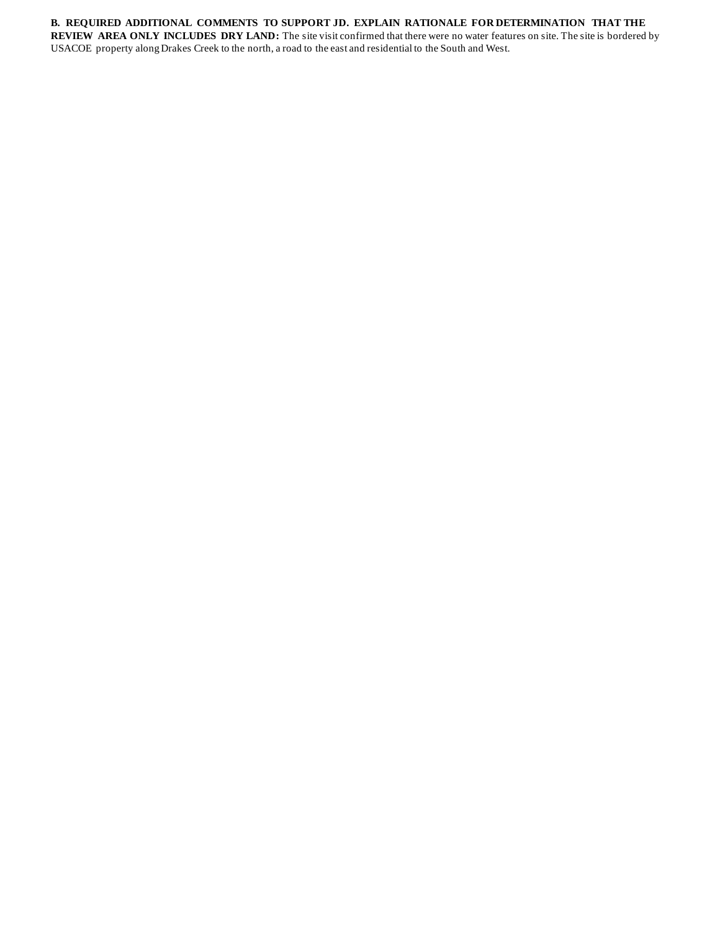# **B. REQUIRED ADDITIONAL COMMENTS TO SUPPORT JD. EXPLAIN RATIONALE FOR DETERMINATION THAT THE**

**REVIEW AREA ONLY INCLUDES DRY LAND:** The site visit confirmed that there were no water features on site. The site is bordered by USACOE property along Drakes Creek to the north, a road to the east and residential to the South and West.